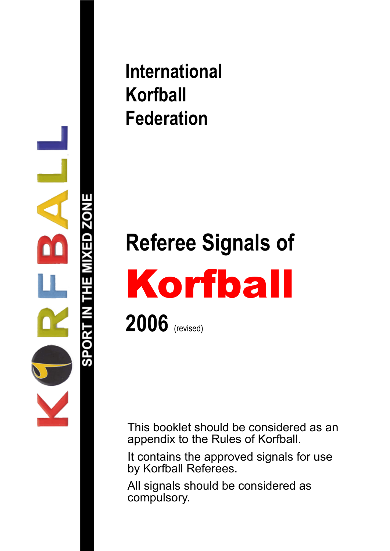

### **International Korfball Federation**

# **Referee Signals of** Korfball **2006** (revised)

This booklet should be considered as an appendix to the Rules of Korfball.

It contains the approved signals for use by Korfball Referees.

All signals should be considered as compulsory.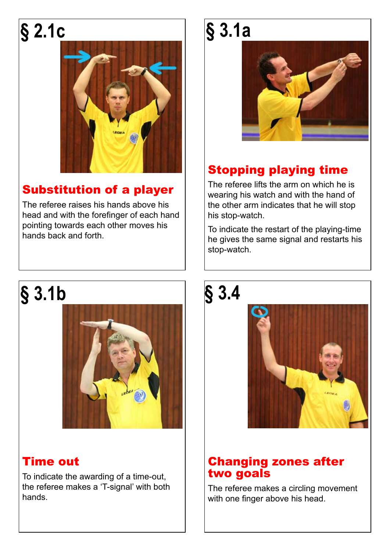# **§ 2.1c**



### Substitution of a player

The referee raises his hands above his head and with the forefinger of each hand pointing towards each other moves his hands back and forth.

### **§ 3.1b**



### Time out

To indicate the awarding of a time-out, the referee makes a 'T-signal' with both hands.

# **§ 3.1a**



### Stopping playing time

The referee lifts the arm on which he is wearing his watch and with the hand of the other arm indicates that he will stop his stop-watch.

To indicate the restart of the playing-time he gives the same signal and restarts his stop-watch.





#### Changing zones after two goals

The referee makes a circling movement with one finger above his head.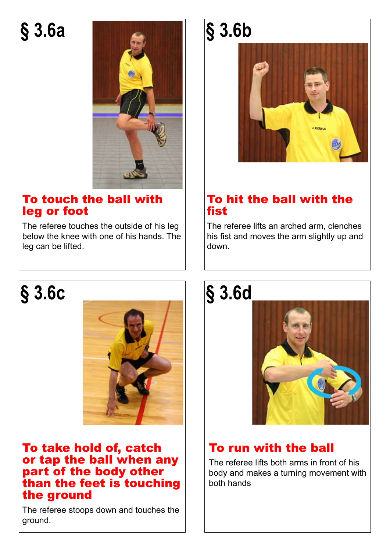### **§ 3.6a**



#### To touch the ball with leg or foot

The referee touches the outside of his leg below the knee with one of his hands. The leg can be lifted.

### **§ 3.6c**



#### To take hold of, catch or tap the ball when any part of the body other than the feet is touching the ground

The referee stoops down and touches the ground.

# **§ 3.6b**



#### To hit the ball with the fist

The referee lifts an arched arm, clenches his fist and moves the arm slightly up and down.

### **§ 3.6d**



### To run with the ball

The referee lifts both arms in front of his body and makes a turning movement with both hands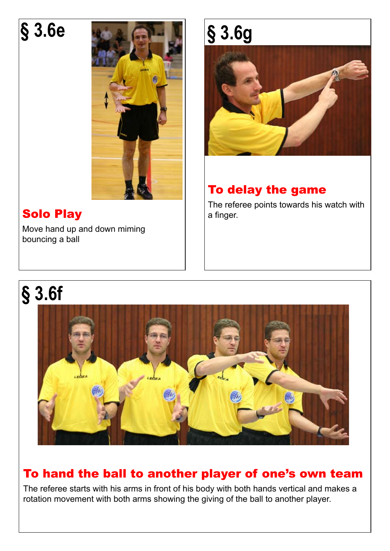## **§ 3.6e**



### Solo Play

Move hand up and down miming bouncing a ball

# **§ 3.6g**



### To delay the game

The referee points towards his watch with a finger.

## **§ 3.6f**



### To hand the ball to another player of one's own team

The referee starts with his arms in front of his body with both hands vertical and makes a rotation movement with both arms showing the giving of the ball to another player.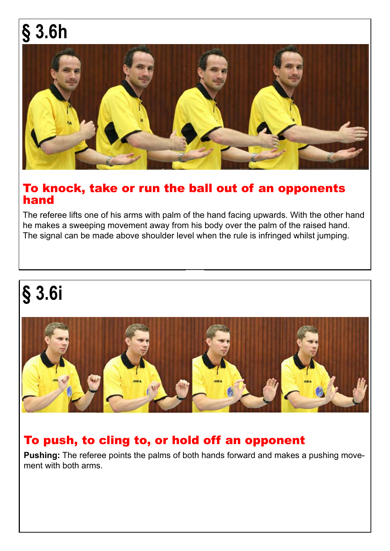# **§ 3.6h**



#### To knock, take or run the ball out of an opponents hand

The referee lifts one of his arms with palm of the hand facing upwards. With the other hand he makes a sweeping movement away from his body over the palm of the raised hand. The signal can be made above shoulder level when the rule is infringed whilst jumping.

# **§ 3.6i**



#### To push, to cling to, or hold off an opponent

**Pushing:** The referee points the palms of both hands forward and makes a pushing movement with both arms.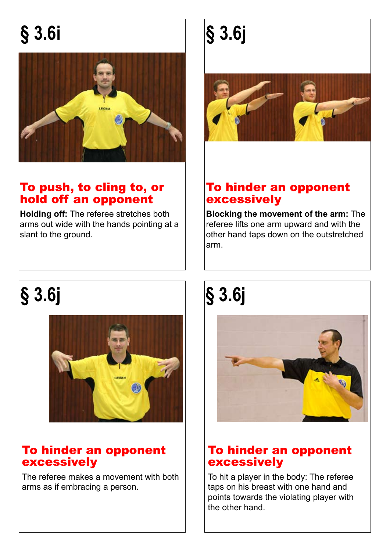# **§ 3.6i**



#### To push, to cling to, or hold off an opponent

**Holding off:** The referee stretches both arms out wide with the hands pointing at a slant to the ground.

# **§ 3.6j**



#### To hinder an opponent excessively

**Blocking the movement of the arm:** The referee lifts one arm upward and with the other hand taps down on the outstretched arm.

# **§ 3.6j § 3.6j**



#### To hinder an opponent excessively

The referee makes a movement with both arms as if embracing a person.



#### To hinder an opponent excessively

To hit a player in the body: The referee taps on his breast with one hand and points towards the violating player with the other hand.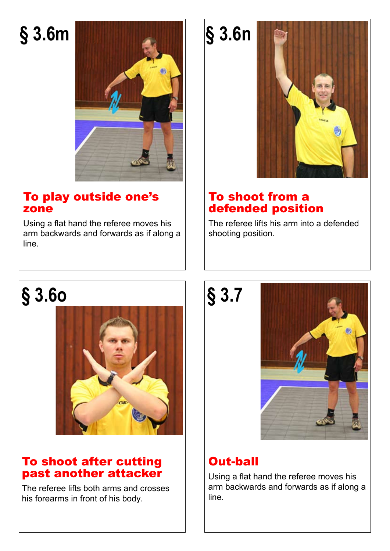

#### To play outside one's zone

Using a flat hand the referee moves his arm backwards and forwards as if along a line.



#### To shoot from a defended position

The referee lifts his arm into a defended shooting position.

### **§ 3.6o**



#### To shoot after cutting past another attacker

The referee lifts both arms and crosses his forearms in front of his body.

**§ 3.7**



### Out-ball

Using a flat hand the referee moves his arm backwards and forwards as if along a line.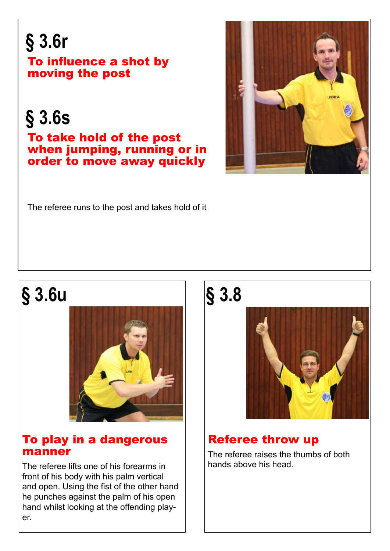### **§ 3.6r** To influence a shot by moving the post

**§ 3.6s**

To take hold of the post when jumping, running or in order to move away quickly



The referee runs to the post and takes hold of it

### **§ 3.6u**



#### To play in a dangerous manner

The referee lifts one of his forearms in front of his body with his palm vertical and open. Using the fist of the other hand he punches against the palm of his open hand whilst looking at the offending player.

### **§ 3.8**



### Referee throw up

The referee raises the thumbs of both hands above his head.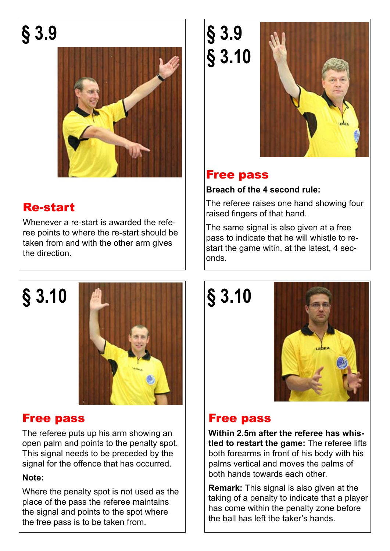**§ 3.9**



#### Re-start

Whenever a re-start is awarded the referee points to where the re-start should be taken from and with the other arm gives the direction.



#### Free pass

The referee puts up his arm showing an open palm and points to the penalty spot. This signal needs to be preceded by the signal for the offence that has occurred.

#### **Note:**

Where the penalty spot is not used as the place of the pass the referee maintains the signal and points to the spot where the free pass is to be taken from.

**§ 3.9 § 3.10**



#### Free pass

#### **Breach of the 4 second rule:**

The referee raises one hand showing four raised fingers of that hand.

The same signal is also given at a free pass to indicate that he will whistle to restart the game witin, at the latest, 4 seconds.

**§ 3.10**



### Free pass

**Within 2.5m after the referee has whistled to restart the game:** The referee lifts both forearms in front of his body with his palms vertical and moves the palms of both hands towards each other.

**Remark:** This signal is also given at the taking of a penalty to indicate that a player has come within the penalty zone before the ball has left the taker's hands.